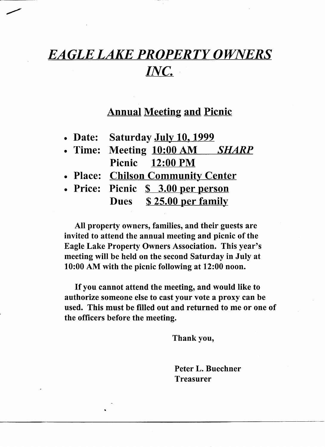## *EAGLE LAKE PROPERTY OWNERS INC.*

## Annual Meeting and Picnic

|  | • Date: | Saturday July 10, 1999 |  |  |
|--|---------|------------------------|--|--|
|--|---------|------------------------|--|--|

- Time: Meeting 10:00 AM *SHARP*  Picnic 12:00 PM
- Place: Chilson Community Center
- Price: Picnic <u>\$ 3.00 per person</u> Dues \$25.00 per family

•

All property owners, families, and their guests are invited to attend the annual meeting and picnic of the Eagle Lake Property Owners Association. This year's meeting will be held on the second Saturday in July at 10:00 AM with the picnic following at 12:00 noon.

If you cannot attend the meeting, and would like to authorize someone else to cast your vote a proxy can be used. This must be filled out and returned to me or one of the officers before the meeting.

Thank you,

Peter L. Buechner Treasurer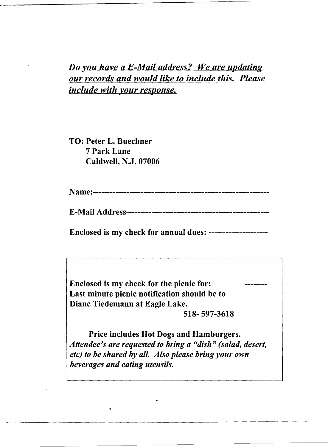*Do you have a E-Mail address? We are updating our records and would like to include this. Please include with your response.* 

TO: Peter L. Buechner 7 Park Lane Caldwell, N.J. 07006

•

Name:---------------------------------------------------------------

E-Mail Ad dres s---------------------------------------------------

Enclosed is my check for annual dues: ---------------------

Enclosed is my check for the picnic for: Last minute picnic notification should be to Diane Tiedemann at Eagle Lake.

518- 597-3618

Price includes Hot Dogs and Hamburgers. *Attendee's are requested to bring a "dish" (salad, desert, etc) to be shared by all. Also please bring your own beverages and eating utensils.*